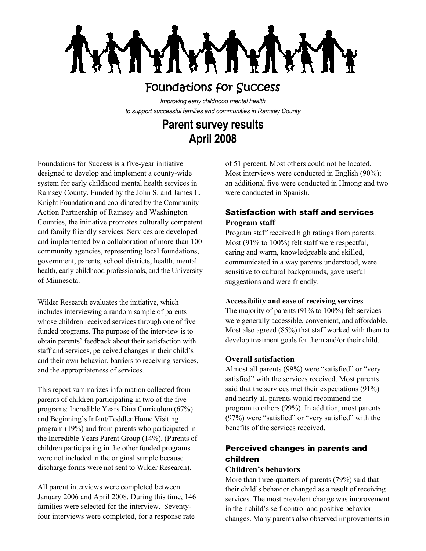**TYT XATYTX!** 

# Foundations for Success

*Improving early childhood mental health to support successful families and communities in Ramsey County*

# **Parent survey results April 2008**

Foundations for Success is a five-year initiative designed to develop and implement a county-wide system for early childhood mental health services in Ramsey County. Funded by the John S. and James L. Knight Foundation and coordinated by the Community Action Partnership of Ramsey and Washington Counties, the initiative promotes culturally competent and family friendly services. Services are developed and implemented by a collaboration of more than 100 community agencies, representing local foundations, government, parents, school districts, health, mental health, early childhood professionals, and the University of Minnesota.

Wilder Research evaluates the initiative, which includes interviewing a random sample of parents whose children received services through one of five funded programs. The purpose of the interview is to obtain parents' feedback about their satisfaction with staff and services, perceived changes in their child's and their own behavior, barriers to receiving services, and the appropriateness of services.

This report summarizes information collected from parents of children participating in two of the five programs: Incredible Years Dina Curriculum (67%) and Beginning's Infant/Toddler Home Visiting program (19%) and from parents who participated in the Incredible Years Parent Group (14%). (Parents of children participating in the other funded programs were not included in the original sample because discharge forms were not sent to Wilder Research).

All parent interviews were completed between January 2006 and April 2008. During this time, 146 families were selected for the interview. Seventyfour interviews were completed, for a response rate

of 51 percent. Most others could not be located. Most interviews were conducted in English (90%); an additional five were conducted in Hmong and two were conducted in Spanish.

# Satisfaction with staff and services **Program staff**

Program staff received high ratings from parents. Most (91% to 100%) felt staff were respectful, caring and warm, knowledgeable and skilled, communicated in a way parents understood, were sensitive to cultural backgrounds, gave useful suggestions and were friendly.

#### **Accessibility and ease of receiving services**

The majority of parents (91% to 100%) felt services were generally accessible, convenient, and affordable. Most also agreed (85%) that staff worked with them to develop treatment goals for them and/or their child.

## **Overall satisfaction**

Almost all parents (99%) were "satisfied" or "very satisfied" with the services received. Most parents said that the services met their expectations (91%) and nearly all parents would recommend the program to others (99%). In addition, most parents (97%) were "satisfied" or "very satisfied" with the benefits of the services received.

# Perceived changes in parents and children

## **Children's behaviors**

More than three-quarters of parents (79%) said that their child's behavior changed as a result of receiving services. The most prevalent change was improvement in their child's self-control and positive behavior changes. Many parents also observed improvements in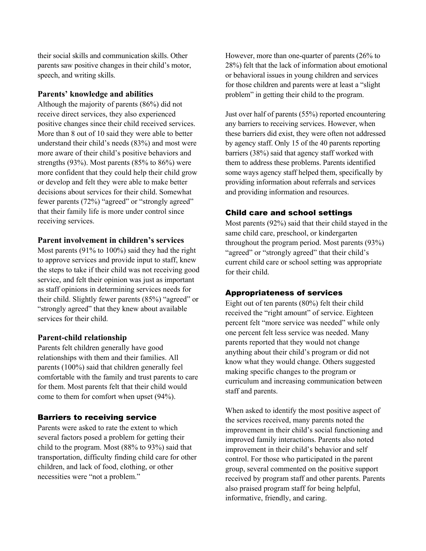their social skills and communication skills. Other parents saw positive changes in their child's motor, speech, and writing skills.

#### **Parents' knowledge and abilities**

Although the majority of parents (86%) did not receive direct services, they also experienced positive changes since their child received services. More than 8 out of 10 said they were able to better understand their child's needs (83%) and most were more aware of their child's positive behaviors and strengths (93%). Most parents (85% to 86%) were more confident that they could help their child grow or develop and felt they were able to make better decisions about services for their child. Somewhat fewer parents (72%) "agreed" or "strongly agreed" that their family life is more under control since receiving services.

#### **Parent involvement in children's services**

Most parents (91% to 100%) said they had the right to approve services and provide input to staff, knew the steps to take if their child was not receiving good service, and felt their opinion was just as important as staff opinions in determining services needs for their child. Slightly fewer parents (85%) "agreed" or "strongly agreed" that they knew about available services for their child.

#### **Parent-child relationship**

Parents felt children generally have good relationships with them and their families. All parents (100%) said that children generally feel comfortable with the family and trust parents to care for them. Most parents felt that their child would come to them for comfort when upset (94%).

### Barriers to receiving service

Parents were asked to rate the extent to which several factors posed a problem for getting their child to the program. Most (88% to 93%) said that transportation, difficulty finding child care for other children, and lack of food, clothing, or other necessities were "not a problem."

However, more than one-quarter of parents (26% to 28%) felt that the lack of information about emotional or behavioral issues in young children and services for those children and parents were at least a "slight problem" in getting their child to the program.

Just over half of parents (55%) reported encountering any barriers to receiving services. However, when these barriers did exist, they were often not addressed by agency staff. Only 15 of the 40 parents reporting barriers (38%) said that agency staff worked with them to address these problems. Parents identified some ways agency staff helped them, specifically by providing information about referrals and services and providing information and resources.

#### Child care and school settings

Most parents (92%) said that their child stayed in the same child care, preschool, or kindergarten throughout the program period. Most parents (93%) "agreed" or "strongly agreed" that their child's current child care or school setting was appropriate for their child.

# Appropriateness of services

Eight out of ten parents (80%) felt their child received the "right amount" of service. Eighteen percent felt "more service was needed" while only one percent felt less service was needed. Many parents reported that they would not change anything about their child's program or did not know what they would change. Others suggested making specific changes to the program or curriculum and increasing communication between staff and parents.

When asked to identify the most positive aspect of the services received, many parents noted the improvement in their child's social functioning and improved family interactions. Parents also noted improvement in their child's behavior and self control. For those who participated in the parent group, several commented on the positive support received by program staff and other parents. Parents also praised program staff for being helpful, informative, friendly, and caring.